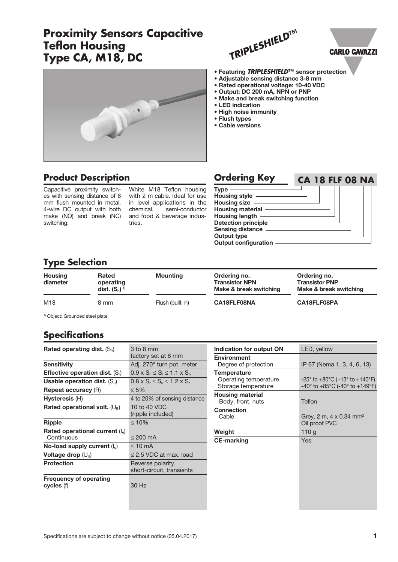## **Proximity Sensors Capacitive Teflon Housing Type CA, M18, DC**



## **Product Description**

Capacitive proximity switches with sensing distance of 8 mm flush mounted in metal. 4-wire DC output with both make (NO) and break (NC) switching.

White M18 Teflon housing with 2 m cable. Ideal for use in level applications in the chemical, semi-conductor and food & beverage industries.

| <b>Ordering Key</b>         | <b>CA 18 FLF 08 NA</b> |
|-----------------------------|------------------------|
| <b>Type</b>                 |                        |
| <b>Housing style</b>        |                        |
| Housing size -              |                        |
| <b>Housing material</b>     |                        |
| <b>Housing length</b>       |                        |
| <b>Detection principle</b>  |                        |
| <b>Sensing distance</b>     |                        |
| <b>Output type</b>          |                        |
| <b>Output configuration</b> |                        |

## **Type Selection**

| <b>Housing</b><br>diameter | <b>Rated</b><br>operating<br>dist. $(S_n)^{1/2}$ | <b>Mounting</b>  | Ordering no.<br>Ordering no.<br><b>Transistor PNP</b><br><b>Transistor NPN</b><br>Make & break switching | Make & break switching |
|----------------------------|--------------------------------------------------|------------------|----------------------------------------------------------------------------------------------------------|------------------------|
| M18                        | 8 mm                                             | Flush (built-in) | CA18FLF08NA                                                                                              | CA18FLF08PA            |

1) Object: Grounded steel plate

## **Specifications**

| Rated operating dist. $(S_n)$               | 3 to 8 mm<br>factory set at 8 mm               |
|---------------------------------------------|------------------------------------------------|
| Sensitivity                                 | Adj. 270° turn pot. meter                      |
| <b>Effective operation dist.</b> $(S_i)$    | $0.9 \times S_n \leq S_r \leq 1.1 \times S_n$  |
| Usable operation dist. $(S_u)$              | $0.8 \times S_r \leq S_u \leq 1.2 \times S_r$  |
| <b>Repeat accuracy (R)</b>                  | $\leq 5\%$                                     |
| Hysteresis (H)                              | 4 to 20% of sensing distance                   |
| Rated operational volt. $(U_B)$             | 10 to 40 VDC<br>(ripple included)              |
| Ripple                                      | $\leq 10\%$                                    |
| Rated operational current $(I_e)$           |                                                |
| Continuous                                  | $\leq$ 200 mA                                  |
| No-load supply current $(I_0)$              | $\leq 10$ mA                                   |
| Voltage drop $(\bigcup_{d} )$               | $\leq$ 2.5 VDC at max. load                    |
| <b>Protection</b>                           | Reverse polarity,<br>short-circuit, transients |
| <b>Frequency of operating</b><br>cycles (f) | 30 Hz                                          |

| Indication for output ON                                           | LED, yellow                                                                                                                            |
|--------------------------------------------------------------------|----------------------------------------------------------------------------------------------------------------------------------------|
| <b>Environment</b><br>Degree of protection                         | IP 67 (Nema 1, 3, 4, 6, 13)                                                                                                            |
| <b>Temperature</b><br>Operating temperature<br>Storage temperature | $-25^{\circ}$ to $+80^{\circ}$ C ( -13 $^{\circ}$ to +140 $^{\circ}$ F)<br>$-40^{\circ}$ to $+85^{\circ}$ C (-40° to $+149^{\circ}$ F) |
| <b>Housing material</b><br>Body, front, nuts                       | Teflon                                                                                                                                 |
| Connection<br>Cable                                                | Grey, 2 m, 4 x 0.34 mm <sup>2</sup><br>Oil proof PVC                                                                                   |
| Weight                                                             | 110g                                                                                                                                   |
| <b>CE-marking</b>                                                  | Yes                                                                                                                                    |

# **CARLO GAVAZZI**

- Featuring *TRIPLESHIELD***™** sensor protection
- Adjustable sensing distance 3-8 mm
- Rated operational voltage: 10-40 VDC

*TRIPLESHIELD***™**

- Output: DC 200 mA, NPN or PNP • Make and break switching function
- LED indication
- High noise immunity
- Flush types
- Cable versions